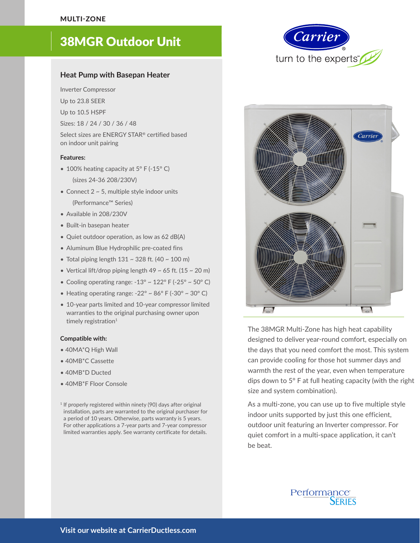SINGLE ZONE *RESIDENTIAL*

# 38MGR Outdoor Unit

## **Heat Pump with Basepan Heater**

Inverter Compressor

- Up to 23.8 SEER
- Up to 10.5 HSPF
- Sizes: 18 / 24 / 30 / 36 / 48

Select sizes are ENERGY STAR® certified based on indoor unit pairing

#### **Features:**

- 100% heating capacity at 5° F (-15° C)
	- (sizes 24-36 208/230V)
- Connect  $2 \sim 5$ , multiple style indoor units (Performance™ Series)
- Available in 208/230V
- Built-in basepan heater
- Quiet outdoor operation, as low as 62 dB(A)
- Aluminum Blue Hydrophilic pre-coated fins
- Total piping length  $131 \sim 328$  ft. (40  $\sim 100$  m)
- Vertical lift/drop piping length  $49 \sim 65$  ft. (15  $\sim 20$  m)
- Cooling operating range:  $-13^{\circ} \sim 122^{\circ}$  F ( $-25^{\circ} \sim 50^{\circ}$  C)
- Heating operating range:  $-22^{\circ} \sim 86^{\circ}$  F ( $-30^{\circ} \sim 30^{\circ}$  C)
- 10-year parts limited and 10-year compressor limited warranties to the original purchasing owner upon timely registration<sup>1</sup>

#### **Compatible with:**

- 40MA\*Q High Wall
- 40MB\*C Cassette
- 40MB\*D Ducted
- 40MB\*F Floor Console

<sup>1</sup> If properly registered within ninety (90) days after original installation, parts are warranted to the original purchaser for a period of 10 years. Otherwise, parts warranty is 5 years. For other applications a 7-year parts and 7-year compressor limited warranties apply. See warranty certificate for details.





The 38MGR Multi-Zone has high heat capability designed to deliver year-round comfort, especially on the days that you need comfort the most. This system can provide cooling for those hot summer days and warmth the rest of the year, even when temperature dips down to 5° F at full heating capacity (with the right size and system combination).

As a multi-zone, you can use up to five multiple style indoor units supported by just this one efficient, outdoor unit featuring an Inverter compressor. For quiet comfort in a multi-space application, it can't be beat.

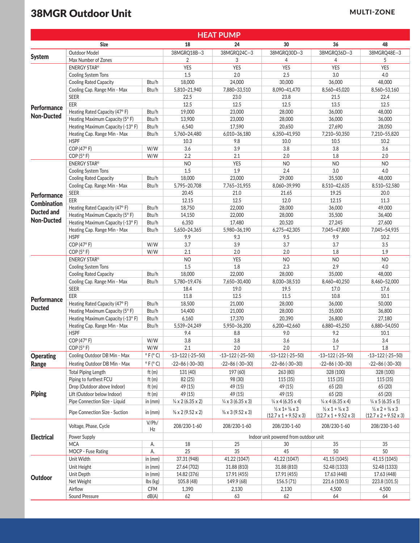## **38MGR Outdoor Unit MULTI-ZONE**

| <b>HEAT PUMP</b>                        |                                        |                        |                                       |                              |                                                                                    |                                                                                    |                                                                                    |  |  |  |  |
|-----------------------------------------|----------------------------------------|------------------------|---------------------------------------|------------------------------|------------------------------------------------------------------------------------|------------------------------------------------------------------------------------|------------------------------------------------------------------------------------|--|--|--|--|
|                                         | <b>Size</b>                            |                        | 18                                    | 24                           | 30                                                                                 | 36                                                                                 | 48                                                                                 |  |  |  |  |
|                                         | <b>Outdoor Model</b>                   |                        | 38MGRQ18B--3                          | 38MGRQ24C--3                 | 38MGRQ30D--3                                                                       | 38MGRQ36D--3                                                                       | 38MGRQ48E--3                                                                       |  |  |  |  |
| <b>System</b>                           | Max Number of Zones                    |                        | 2                                     | 3                            | 4                                                                                  | 4                                                                                  | 5                                                                                  |  |  |  |  |
|                                         | <b>ENERGY STAR®</b>                    |                        | <b>YES</b>                            | <b>YES</b>                   | <b>YES</b>                                                                         | <b>YES</b>                                                                         | <b>YES</b>                                                                         |  |  |  |  |
| <b>Performance</b><br><b>Non-Ducted</b> | Cooling System Tons                    |                        | 1.5                                   | 2.0                          | 2.5                                                                                | 3.0                                                                                | 4.0                                                                                |  |  |  |  |
|                                         | <b>Cooling Rated Capacity</b>          | Btu/h                  | 18,000                                | 24,000                       | 30,000                                                                             | 36,000                                                                             | 48,000                                                                             |  |  |  |  |
|                                         | Cooling Cap. Range Min - Max           | Btu/h                  | 5,810~21,940                          | 7,880~33,510                 | 8,090~41,470                                                                       | 8,560~45,020                                                                       | 8,560~53,160                                                                       |  |  |  |  |
|                                         | <b>SEER</b>                            |                        | 22.5                                  | 23.0                         | 23.8                                                                               | 21.5                                                                               | 22.4                                                                               |  |  |  |  |
|                                         | EER                                    |                        | 12.5                                  | 12.5                         | 12.5                                                                               | 13.5                                                                               | 12.5                                                                               |  |  |  |  |
|                                         | Heating Rated Capacity (47°F)<br>Btu/h |                        | 19,000                                | 23,000                       | 28,000                                                                             | 36,000                                                                             | 48,000                                                                             |  |  |  |  |
|                                         | Heating Maximum Capacity (5°F)         | Btu/h                  | 13,900                                | 23,000                       | 28,000                                                                             | 36,000                                                                             | 36,000                                                                             |  |  |  |  |
|                                         | Heating Maximum Capacity (-13°F)       | Btu/h                  | 6,540                                 | 17,590                       | 20,650                                                                             | 27,690                                                                             | 28,050                                                                             |  |  |  |  |
|                                         | Heating Cap. Range Min - Max           | Btu/h                  | 5,760~24,480                          | 6,010~36,180                 | 6,350~41,950                                                                       | 7,210~50,350                                                                       | 7,210~55,820                                                                       |  |  |  |  |
|                                         | <b>HSPF</b>                            |                        | 10.3                                  | 9.8                          | 10.0                                                                               | 10.5                                                                               | 10.2                                                                               |  |  |  |  |
|                                         | COP (47°F)                             | W/W                    | 3.6                                   | 3.9                          | 3.8                                                                                | 3.8                                                                                | 3.6                                                                                |  |  |  |  |
|                                         | COP(5° F)                              | W/W                    | 2.2                                   | 2.1                          | 2.0                                                                                | 1.8                                                                                | 2.0                                                                                |  |  |  |  |
|                                         | <b>ENERGY STAR®</b>                    |                        | <b>NO</b>                             | <b>YES</b>                   | <b>NO</b>                                                                          | <b>NO</b>                                                                          | <b>NO</b>                                                                          |  |  |  |  |
|                                         | Cooling System Tons                    |                        | 1.5                                   | 1.9                          | 2.4                                                                                | 3.0                                                                                | 4.0                                                                                |  |  |  |  |
|                                         | <b>Cooling Rated Capacity</b>          | Btu/h                  | 18,000                                | 23,000                       | 29,000                                                                             | 35,500                                                                             | 48,000                                                                             |  |  |  |  |
|                                         | Cooling Cap. Range Min - Max           | Btu/h                  | 5,795~20,708                          | 7,765~31,955                 | 8,060~39,990                                                                       | 8,510~42,635                                                                       | 8,510~52,580                                                                       |  |  |  |  |
|                                         | <b>SEER</b>                            |                        | 20.45                                 | 21.0                         | 21.65                                                                              | 19.25                                                                              | 20.0                                                                               |  |  |  |  |
| <b>Performance</b>                      | EER                                    |                        | 12.15                                 | 12.5                         | 12.0                                                                               | 12.15                                                                              | 11.3                                                                               |  |  |  |  |
| <b>Combination</b>                      | Heating Rated Capacity (47°F)          | Btu/h                  | 18,750                                | 22,000                       | 28,000                                                                             | 36,000                                                                             | 49,000                                                                             |  |  |  |  |
| <b>Ducted and</b>                       | Heating Maximum Capacity (5°F)         | Btu/h                  | 14,150                                | 22,000                       | 28,000                                                                             | 35,500                                                                             | 36,400                                                                             |  |  |  |  |
| <b>Non-Ducted</b>                       | Heating Maximum Capacity (-13°F)       | Btu/h                  | 6,350                                 | 17,480                       | 20,520                                                                             | 27,245                                                                             | 27,600                                                                             |  |  |  |  |
|                                         | Heating Cap. Range Min - Max           | Btu/h                  | 5,650~24,365                          | 5,980~36,190                 | 6,275~42,305                                                                       | 7,045~47,800                                                                       | 7,045~54,935                                                                       |  |  |  |  |
|                                         | <b>HSPF</b>                            |                        | 9.9                                   | 9.3                          | 9.5                                                                                | 9.9                                                                                | 10.2                                                                               |  |  |  |  |
|                                         | COP (47°F)                             | W/W                    | 3.7                                   | 3.9                          | 3.7                                                                                | 3.7                                                                                | 3.5                                                                                |  |  |  |  |
|                                         | COP(5° F)                              | W/W                    | 2.1                                   | 2.0                          | 2.0                                                                                | 1.8                                                                                | 1.9                                                                                |  |  |  |  |
| <b>Performance</b>                      | <b>ENERGY STAR®</b>                    |                        | <b>NO</b>                             | <b>YES</b>                   | <b>NO</b>                                                                          | <b>NO</b>                                                                          | <b>NO</b>                                                                          |  |  |  |  |
|                                         | Cooling System Tons                    |                        | 1.5                                   | $1.8\,$                      | 2.3                                                                                | 2.9                                                                                | 4.0                                                                                |  |  |  |  |
|                                         | <b>Cooling Rated Capacity</b>          | Btu/h                  | 18,000                                | 22,000                       | 28,000                                                                             | 35,000                                                                             | 48,000                                                                             |  |  |  |  |
|                                         | Cooling Cap. Range Min - Max           | Btu/h                  | 5,780~19,476                          | 7,650~30,400                 | 8,030~38,510                                                                       | 8,460~40,250                                                                       | 8,460~52,000                                                                       |  |  |  |  |
|                                         | SEER                                   |                        | 18.4                                  | 19.0                         | 19.5                                                                               | 17.0                                                                               | 17.6                                                                               |  |  |  |  |
|                                         | EER                                    |                        | 11.8                                  | 12.5                         | 11.5                                                                               | 10.8                                                                               | 10.1                                                                               |  |  |  |  |
|                                         | Heating Rated Capacity (47°F)          | Btu/h                  | 18,500                                | 21,000                       | 28,000                                                                             | 36,000                                                                             | 50,000                                                                             |  |  |  |  |
| <b>Ducted</b>                           | Heating Maximum Capacity (5°F)         | Btu/h                  | 14,400                                | 21,000                       | 28,000                                                                             | 35,000                                                                             | 36,800                                                                             |  |  |  |  |
|                                         | Heating Maximum Capacity (-13°F)       | Btu/h                  | 6,160                                 | 17,370                       | 20,390                                                                             | 26,800                                                                             | 27,180                                                                             |  |  |  |  |
|                                         | Heating Cap. Range Min - Max           | Btu/h                  | 5,539~24,249                          | 5,950~36,200                 | 6,200~42,660                                                                       | 6,880~45,250                                                                       | 6,880~54,050                                                                       |  |  |  |  |
|                                         | <b>HSPF</b>                            |                        | 9.4                                   | 8.8                          | 9.0                                                                                | 9.2                                                                                | 10.1                                                                               |  |  |  |  |
|                                         | COP (47°F)                             | W/W                    | 3.8                                   | $3.8\,$                      | 3.6                                                                                | 3.6                                                                                | 3.4                                                                                |  |  |  |  |
|                                         | COP(5° F)                              | W/W                    | 2.1                                   | 2.0                          | 2.0                                                                                | 1.7                                                                                | 1.8                                                                                |  |  |  |  |
| <b>Operating</b>                        | Cooling Outdoor DB Min - Max           | $\circ$ F ( $\circ$ C) | $-13 - 122$ ( $-25 - 50$ )            | $-13 - 122$ ( $-25 - 50$ )   | $-13 - 122$ ( $-25 - 50$ )                                                         | $-13 - 122$ ( $-25 - 50$ )                                                         | $-13 - 122$ ( $-25 - 50$ )                                                         |  |  |  |  |
|                                         | Heating Outdoor DB Min - Max           | $\circ$ F ( $\circ$ C) | $-22 - 86 (-30 - 30)$                 | $-22 - 86 (-30 - 30)$        | $-22 - 86 (-30 - 30)$                                                              | $-22 - 86 (-30 - 30)$                                                              | $-22 - 86 (-30 - 30)$                                                              |  |  |  |  |
| Range                                   |                                        |                        |                                       |                              |                                                                                    |                                                                                    |                                                                                    |  |  |  |  |
| <b>Piping</b>                           | <b>Total Piping Length</b>             | ft $(m)$               | 131 (40)                              | 197 (60)                     | 263 (80)                                                                           | 328 (100)                                                                          | 328 (100)                                                                          |  |  |  |  |
|                                         | Piping to furthest FCU                 | ft $(m)$               | 82 (25)                               | 98 (30)                      | 115(35)                                                                            | 115 (35)                                                                           | 115(35)                                                                            |  |  |  |  |
|                                         | Drop (Outdoor above Indoor)            | ft $(m)$               | 49 (15)                               | 49 (15)                      | 49 (15)                                                                            | 65 (20)                                                                            | 65 (20)                                                                            |  |  |  |  |
|                                         | Lift (Outdoor below Indoor)            | ft $(m)$               | 49 (15)                               | 49 (15)                      | 49 (15)                                                                            | 65 (20)                                                                            | 65 (20)                                                                            |  |  |  |  |
|                                         | Pipe Connection Size - Liquid          | in (mm)                | $\frac{1}{4}$ x 2 (6.35 x 2)          | $\frac{1}{4}$ x 3 (6.35 x 3) | $\frac{1}{4}$ x 4 (6.35 x 4)                                                       | $\frac{1}{4}$ x 4 (6.35 x 4)                                                       | $\frac{1}{4}$ x 5 (6.35 x 5)                                                       |  |  |  |  |
|                                         | Pipe Connection Size - Suction         | in $(mm)$              | $\frac{3}{8}$ x 2 (9.52 x 2)          | $\frac{3}{8}$ x 3 (9.52 x 3) | $\frac{1}{2} \times 1 + \frac{3}{8} \times 3$<br>$(12.7 \times 1 + 9.52 \times 3)$ | $\frac{1}{2} \times 1 + \frac{3}{8} \times 3$<br>$(12.7 \times 1 + 9.52 \times 3)$ | $\frac{1}{2} \times 2 + \frac{3}{8} \times 3$<br>$(12.7 \times 2 + 9.52 \times 3)$ |  |  |  |  |
| <b>Electrical</b>                       | Voltage, Phase, Cycle                  | V/Ph/<br>Hz            | 208/230-1-60                          | 208/230-1-60                 | 208/230-1-60                                                                       | 208/230-1-60                                                                       | 208/230-1-60                                                                       |  |  |  |  |
|                                         | Power Supply                           |                        | Indoor unit powered from outdoor unit |                              |                                                                                    |                                                                                    |                                                                                    |  |  |  |  |
|                                         | <b>MCA</b><br>А.                       |                        | 18                                    | 25                           | 30                                                                                 | 35                                                                                 | 35                                                                                 |  |  |  |  |
|                                         | MOCP - Fuse Rating                     | А.                     | 25                                    | 35                           | 45                                                                                 | 50                                                                                 | 50                                                                                 |  |  |  |  |
| Outdoor                                 | Unit Width                             | in $(mm)$              | 37.31 (948)                           | 41.22 (1047)                 | 41.22 (1047)                                                                       | 41.15 (1045)                                                                       | 41.15 (1045)                                                                       |  |  |  |  |
|                                         | Unit Height                            | in $(mm)$              | 27.64 (702)                           | 31.88 (810)                  | 31.88 (810)                                                                        | 52.48 (1333)                                                                       | 52.48 (1333)                                                                       |  |  |  |  |
|                                         | Unit Depth                             | in (mm)                | 14.82 (376)                           | 17.91 (455)                  | 17.91 (455)                                                                        | 17.63 (448)                                                                        | 17.63 (448)                                                                        |  |  |  |  |
|                                         | Net Weight                             | lbs (kg)               | 105.8 (48)                            | 149.9 (68)                   | 156.5(71)                                                                          | 221.6 (100.5)                                                                      | 223.8 (101.5)                                                                      |  |  |  |  |
|                                         | Airflow                                | <b>CFM</b>             | 1,390                                 | 2,130                        | 2,130                                                                              | 4,500                                                                              | 4,500                                                                              |  |  |  |  |
|                                         | Sound Pressure                         | dB(A)                  | 62                                    | 63                           | 62                                                                                 | 64                                                                                 | 64                                                                                 |  |  |  |  |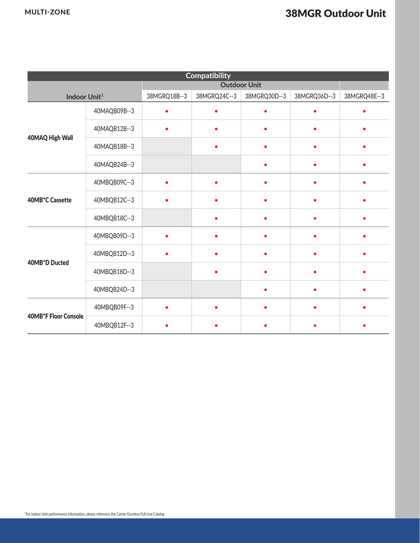| <b>Compatibility</b>        |              |              |              |              |              |              |  |  |  |  |
|-----------------------------|--------------|--------------|--------------|--------------|--------------|--------------|--|--|--|--|
|                             |              |              |              |              |              |              |  |  |  |  |
| Indoor Unit <sup>1</sup>    |              | 38MGRQ18B--3 | 38MGRQ24C--3 | 38MGRQ30D--3 | 38MGRQ36D--3 | 38MGRQ48E--3 |  |  |  |  |
|                             | 40MAQB09B--3 |              |              |              |              |              |  |  |  |  |
|                             | 40MAQB12B--3 | $\bullet$    |              | $\bullet$    | $\bullet$    | C            |  |  |  |  |
| 40MAQ High Wall             | 40MAQB18B--3 |              |              |              |              |              |  |  |  |  |
|                             | 40MAQB24B--3 |              |              | $\bullet$    | $\bullet$    | $\bullet$    |  |  |  |  |
|                             | 40MBQB09C--3 |              |              |              |              |              |  |  |  |  |
| 40MB*C Cassette             | 40MBQB12C--3 | $\bullet$    |              | $\bullet$    | $\bullet$    | $\bullet$    |  |  |  |  |
|                             | 40MBQB18C--3 |              |              |              | $\bullet$    |              |  |  |  |  |
|                             | 40MBQB09D--3 | $\bullet$    |              |              | $\bullet$    |              |  |  |  |  |
| 40MB*D Ducted               | 40MBQB12D--3 |              |              |              |              |              |  |  |  |  |
|                             | 40MBQB18D--3 |              |              |              |              |              |  |  |  |  |
|                             | 40MBQB24D--3 |              |              |              |              |              |  |  |  |  |
| <b>40MB*F Floor Console</b> | 40MBQB09F--3 |              |              |              |              |              |  |  |  |  |
|                             | 40MBQB12F--3 |              |              |              |              |              |  |  |  |  |